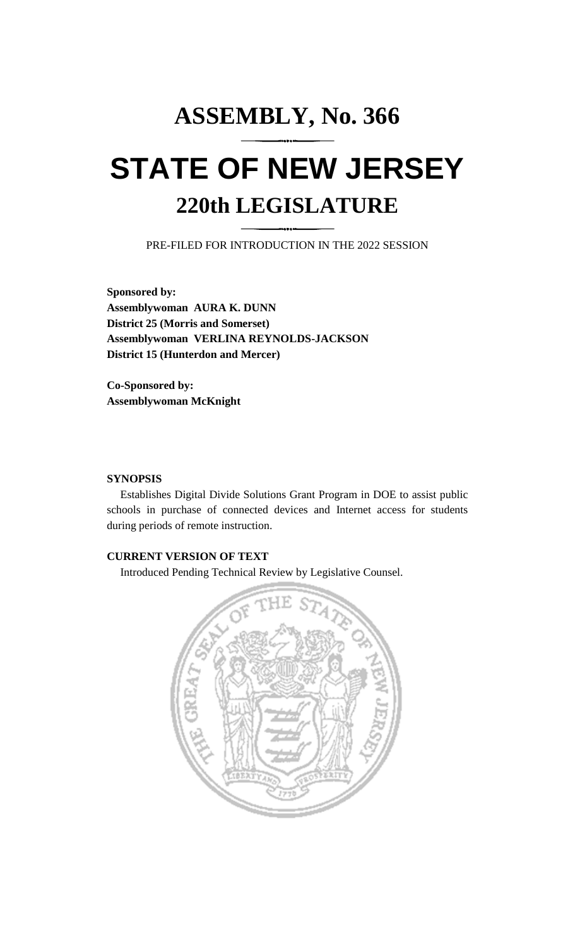# **ASSEMBLY, No. 366 STATE OF NEW JERSEY 220th LEGISLATURE**

PRE-FILED FOR INTRODUCTION IN THE 2022 SESSION

**Sponsored by: Assemblywoman AURA K. DUNN District 25 (Morris and Somerset) Assemblywoman VERLINA REYNOLDS-JACKSON District 15 (Hunterdon and Mercer)**

**Co-Sponsored by: Assemblywoman McKnight**

#### **SYNOPSIS**

Establishes Digital Divide Solutions Grant Program in DOE to assist public schools in purchase of connected devices and Internet access for students during periods of remote instruction.

## **CURRENT VERSION OF TEXT**

Introduced Pending Technical Review by Legislative Counsel.

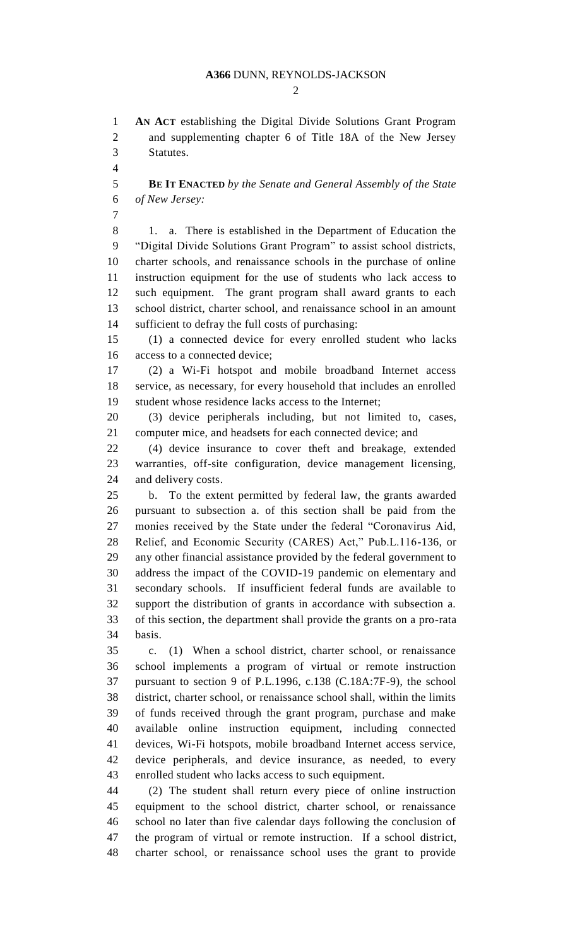#### **A366** DUNN, REYNOLDS-JACKSON

 $\mathcal{D}_{\mathcal{L}}$ 

 **AN ACT** establishing the Digital Divide Solutions Grant Program and supplementing chapter 6 of Title 18A of the New Jersey Statutes.

 **BE IT ENACTED** *by the Senate and General Assembly of the State of New Jersey:*

 1. a. There is established in the Department of Education the "Digital Divide Solutions Grant Program" to assist school districts, charter schools, and renaissance schools in the purchase of online instruction equipment for the use of students who lack access to such equipment. The grant program shall award grants to each school district, charter school, and renaissance school in an amount sufficient to defray the full costs of purchasing:

 (1) a connected device for every enrolled student who lacks access to a connected device;

 (2) a Wi-Fi hotspot and mobile broadband Internet access service, as necessary, for every household that includes an enrolled student whose residence lacks access to the Internet;

 (3) device peripherals including, but not limited to, cases, computer mice, and headsets for each connected device; and

 (4) device insurance to cover theft and breakage, extended warranties, off-site configuration, device management licensing, and delivery costs.

 b. To the extent permitted by federal law, the grants awarded pursuant to subsection a. of this section shall be paid from the monies received by the State under the federal "Coronavirus Aid, Relief, and Economic Security (CARES) Act," Pub.L.116-136, or any other financial assistance provided by the federal government to address the impact of the COVID-19 pandemic on elementary and secondary schools. If insufficient federal funds are available to support the distribution of grants in accordance with subsection a. of this section, the department shall provide the grants on a pro-rata basis.

 c. (1) When a school district, charter school, or renaissance school implements a program of virtual or remote instruction pursuant to section 9 of P.L.1996, c.138 (C.18A:7F-9), the school district, charter school, or renaissance school shall, within the limits of funds received through the grant program, purchase and make available online instruction equipment, including connected devices, Wi-Fi hotspots, mobile broadband Internet access service, device peripherals, and device insurance, as needed, to every enrolled student who lacks access to such equipment.

 (2) The student shall return every piece of online instruction equipment to the school district, charter school, or renaissance school no later than five calendar days following the conclusion of the program of virtual or remote instruction. If a school district, charter school, or renaissance school uses the grant to provide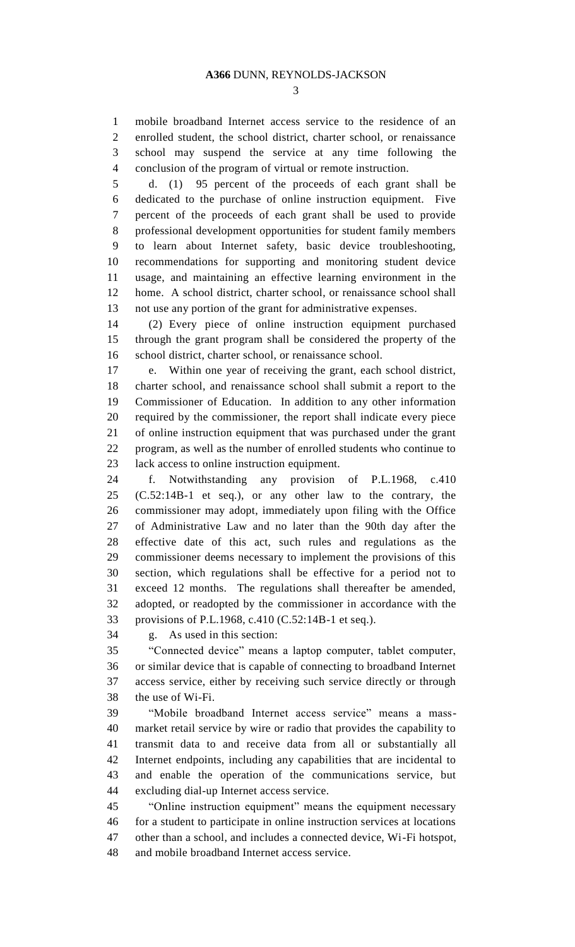mobile broadband Internet access service to the residence of an enrolled student, the school district, charter school, or renaissance school may suspend the service at any time following the conclusion of the program of virtual or remote instruction.

 d. (1) 95 percent of the proceeds of each grant shall be dedicated to the purchase of online instruction equipment. Five percent of the proceeds of each grant shall be used to provide professional development opportunities for student family members to learn about Internet safety, basic device troubleshooting, recommendations for supporting and monitoring student device usage, and maintaining an effective learning environment in the home. A school district, charter school, or renaissance school shall not use any portion of the grant for administrative expenses.

 (2) Every piece of online instruction equipment purchased through the grant program shall be considered the property of the school district, charter school, or renaissance school.

 e. Within one year of receiving the grant, each school district, charter school, and renaissance school shall submit a report to the Commissioner of Education. In addition to any other information required by the commissioner, the report shall indicate every piece of online instruction equipment that was purchased under the grant program, as well as the number of enrolled students who continue to lack access to online instruction equipment.

 f. Notwithstanding any provision of P.L.1968, c.410 (C.52:14B-1 et seq.), or any other law to the contrary, the commissioner may adopt, immediately upon filing with the Office of Administrative Law and no later than the 90th day after the effective date of this act, such rules and regulations as the commissioner deems necessary to implement the provisions of this section, which regulations shall be effective for a period not to exceed 12 months. The regulations shall thereafter be amended, adopted, or readopted by the commissioner in accordance with the provisions of P.L.1968, c.410 (C.52:14B-1 et seq.).

g. As used in this section:

 "Connected device" means a laptop computer, tablet computer, or similar device that is capable of connecting to broadband Internet access service, either by receiving such service directly or through the use of Wi-Fi.

 "Mobile broadband Internet access service" means a mass- market retail service by wire or radio that provides the capability to transmit data to and receive data from all or substantially all Internet endpoints, including any capabilities that are incidental to and enable the operation of the communications service, but excluding dial-up Internet access service.

 "Online instruction equipment" means the equipment necessary for a student to participate in online instruction services at locations other than a school, and includes a connected device, Wi-Fi hotspot, and mobile broadband Internet access service.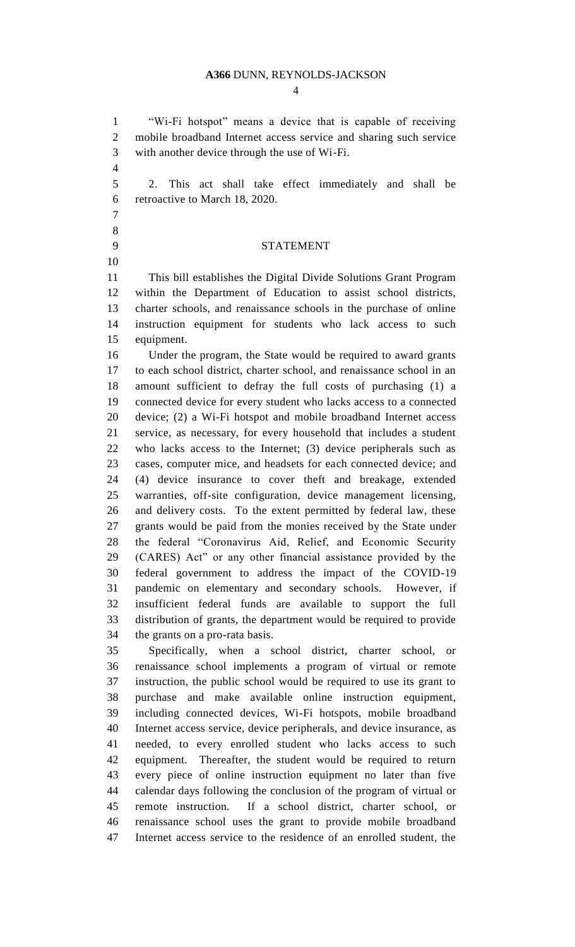#### **A366** DUNN, REYNOLDS-JACKSON

 "Wi-Fi hotspot" means a device that is capable of receiving mobile broadband Internet access service and sharing such service with another device through the use of Wi-Fi.

 2. This act shall take effect immediately and shall be retroactive to March 18, 2020.

### STATEMENT

 This bill establishes the Digital Divide Solutions Grant Program within the Department of Education to assist school districts, charter schools, and renaissance schools in the purchase of online instruction equipment for students who lack access to such equipment.

 Under the program, the State would be required to award grants to each school district, charter school, and renaissance school in an amount sufficient to defray the full costs of purchasing (1) a connected device for every student who lacks access to a connected device; (2) a Wi-Fi hotspot and mobile broadband Internet access service, as necessary, for every household that includes a student who lacks access to the Internet; (3) device peripherals such as cases, computer mice, and headsets for each connected device; and (4) device insurance to cover theft and breakage, extended warranties, off-site configuration, device management licensing, and delivery costs. To the extent permitted by federal law, these grants would be paid from the monies received by the State under the federal "Coronavirus Aid, Relief, and Economic Security (CARES) Act" or any other financial assistance provided by the federal government to address the impact of the COVID-19 pandemic on elementary and secondary schools. However, if insufficient federal funds are available to support the full distribution of grants, the department would be required to provide the grants on a pro-rata basis.

 Specifically, when a school district, charter school, or renaissance school implements a program of virtual or remote instruction, the public school would be required to use its grant to purchase and make available online instruction equipment, including connected devices, Wi-Fi hotspots, mobile broadband Internet access service, device peripherals, and device insurance, as needed, to every enrolled student who lacks access to such equipment. Thereafter, the student would be required to return every piece of online instruction equipment no later than five calendar days following the conclusion of the program of virtual or remote instruction. If a school district, charter school, or renaissance school uses the grant to provide mobile broadband Internet access service to the residence of an enrolled student, the